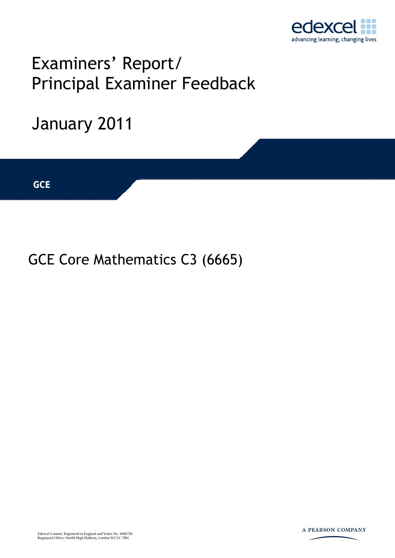

## Examiners' Report/ Principal Examiner Feedback

# January 2011 **IGCSE GCE**

### GCE Core Mathematics C3 (6665)

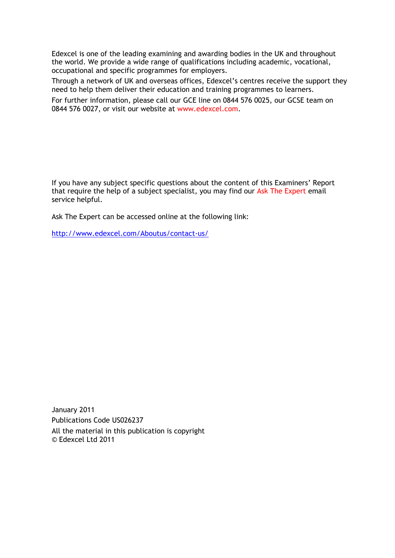Edexcel is one of the leading examining and awarding bodies in the UK and throughout the world. We provide a wide range of qualifications including academic, vocational, occupational and specific programmes for employers.

Through a network of UK and overseas offices, Edexcel's centres receive the support they need to help them deliver their education and training programmes to learners.

For further information, please call our GCE line on 0844 576 0025, our GCSE team on 0844 576 0027, or visit our website at www.edexcel.com.

If you have any subject specific questions about the content of this Examiners' Report that require the help of a subject specialist, you may find our Ask The Expert email service helpful.

Ask The Expert can be accessed online at the following link:

http://www.edexcel.com/Aboutus/contact-us/

January 2011 Publications Code US026237 All the material in this publication is copyright © Edexcel Ltd 2011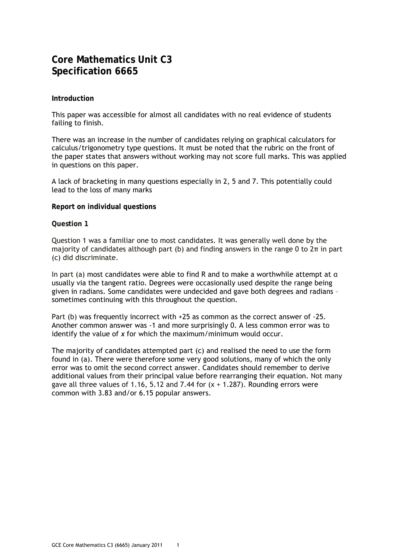#### **Core Mathematics Unit C3 Specification 6665**

#### **Introduction**

This paper was accessible for almost all candidates with no real evidence of students failing to finish.

There was an increase in the number of candidates relying on graphical calculators for calculus/trigonometry type questions. It must be noted that the rubric on the front of the paper states that answers without working may not score full marks. This was applied in questions on this paper.

A lack of bracketing in many questions especially in 2, 5 and 7. This potentially could lead to the loss of many marks

#### **Report on individual questions**

#### **Question 1**

Question 1 was a familiar one to most candidates. It was generally well done by the majority of candidates although part (b) and finding answers in the range 0 to 2π in part (c) did discriminate.

In part (a) most candidates were able to find R and to make a worthwhile attempt at  $\alpha$ usually via the tangent ratio. Degrees were occasionally used despite the range being given in radians. Some candidates were undecided and gave both degrees and radians – sometimes continuing with this throughout the question.

Part (b) was frequently incorrect with +25 as common as the correct answer of -25. Another common answer was -1 and more surprisingly 0. A less common error was to identify the value of *x* for which the maximum/minimum would occur.

The majority of candidates attempted part (c) and realised the need to use the form found in (a). There were therefore some very good solutions, many of which the only error was to omit the second correct answer. Candidates should remember to derive additional values from their principal value before rearranging their equation. Not many gave all three values of 1.16, 5.12 and 7.44 for  $(x + 1.287)$ . Rounding errors were common with 3.83 and/or 6.15 popular answers.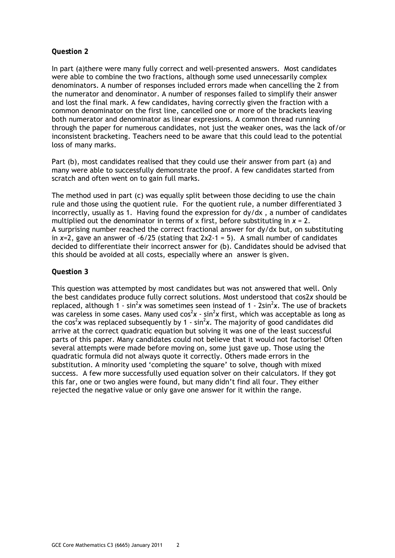In part (a)there were many fully correct and well-presented answers. Most candidates were able to combine the two fractions, although some used unnecessarily complex denominators. A number of responses included errors made when cancelling the 2 from the numerator and denominator. A number of responses failed to simplify their answer and lost the final mark. A few candidates, having correctly given the fraction with a common denominator on the first line, cancelled one or more of the brackets leaving both numerator and denominator as linear expressions. A common thread running through the paper for numerous candidates, not just the weaker ones, was the lack of/or inconsistent bracketing. Teachers need to be aware that this could lead to the potential loss of many marks.

Part (b), most candidates realised that they could use their answer from part (a) and many were able to successfully demonstrate the proof. A few candidates started from scratch and often went on to gain full marks.

The method used in part (c) was equally split between those deciding to use the chain rule and those using the quotient rule. For the quotient rule, a number differentiated 3 incorrectly, usually as 1. Having found the expression for dy/dx , a number of candidates multiplied out the denominator in terms of x first, before substituting in  $x = 2$ . A surprising number reached the correct fractional answer for dy/dx but, on substituting in  $x=2$ , gave an answer of  $-6/25$  (stating that  $2x^2-1 = 5$ ). A small number of candidates decided to differentiate their incorrect answer for (b). Candidates should be advised that this should be avoided at all costs, especially where an answer is given.

#### **Question 3**

This question was attempted by most candidates but was not answered that well. Only the best candidates produce fully correct solutions. Most understood that cos2*x* should be replaced, although  $1$  - sin<sup>2</sup>x was sometimes seen instead of  $1$  - 2sin<sup>2</sup>x. The use of brackets was careless in some cases. Many used cos<sup>2</sup>x - sin<sup>2</sup>x first, which was acceptable as long as the cos<sup>2</sup>x was replaced subsequently by 1 -  $sin^2x$ . The majority of good candidates did arrive at the correct quadratic equation but solving it was one of the least successful parts of this paper. Many candidates could not believe that it would not factorise! Often several attempts were made before moving on, some just gave up. Those using the quadratic formula did not always quote it correctly. Others made errors in the substitution. A minority used 'completing the square' to solve, though with mixed success. A few more successfully used equation solver on their calculators. If they got this far, one or two angles were found, but many didn't find all four. They either rejected the negative value or only gave one answer for it within the range.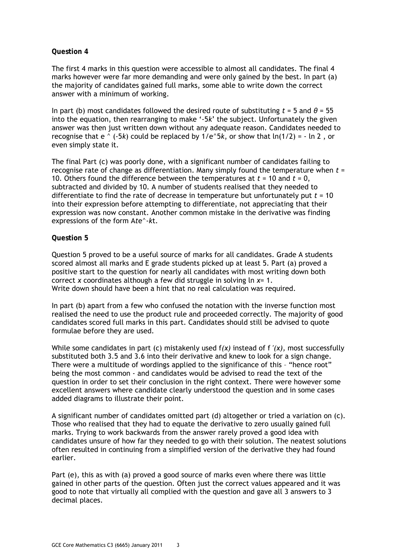The first 4 marks in this question were accessible to almost all candidates. The final 4 marks however were far more demanding and were only gained by the best. In part (a) the majority of candidates gained full marks, some able to write down the correct answer with a minimum of working.

In part (b) most candidates followed the desired route of substituting  $t = 5$  and  $\theta = 55$ into the equation, then rearranging to make '-5*k*' the subject. Unfortunately the given answer was then just written down without any adequate reason. Candidates needed to recognise that  $e^{\wedge}$  (-5*k*) could be replaced by  $1/e^5$ *k*, or show that  $ln(1/2) = - ln 2$ , or even simply state it.

The final Part (c) was poorly done, with a significant number of candidates failing to recognise rate of change as differentiation. Many simply found the temperature when *t* = 10. Others found the difference between the temperatures at *t* = 10 and *t* = 0, subtracted and divided by 10. A number of students realised that they needed to differentiate to find the rate of decrease in temperature but unfortunately put *t* = 10 into their expression before attempting to differentiate, not appreciating that their expression was now constant. Another common mistake in the derivative was finding expressions of the form A*t*e^-*k*t.

#### **Question 5**

Question 5 proved to be a useful source of marks for all candidates. Grade A students scored almost all marks and E grade students picked up at least 5. Part (a) proved a positive start to the question for nearly all candidates with most writing down both correct *x* coordinates although a few did struggle in solving ln *x=* 1. Write down should have been a hint that no real calculation was required.

In part (b) apart from a few who confused the notation with the inverse function most realised the need to use the product rule and proceeded correctly. The majority of good candidates scored full marks in this part. Candidates should still be advised to quote formulae before they are used.

While some candidates in part (c) mistakenly used f*(x)* instead of f ′*(x),* most successfully substituted both 3.5 and 3.6 into their derivative and knew to look for a sign change. There were a multitude of wordings applied to the significance of this – "hence root" being the most common - and candidates would be advised to read the text of the question in order to set their conclusion in the right context. There were however some excellent answers where candidate clearly understood the question and in some cases added diagrams to illustrate their point.

A significant number of candidates omitted part (d) altogether or tried a variation on (c). Those who realised that they had to equate the derivative to zero usually gained full marks. Trying to work backwards from the answer rarely proved a good idea with candidates unsure of how far they needed to go with their solution. The neatest solutions often resulted in continuing from a simplified version of the derivative they had found earlier.

Part (e), this as with (a) proved a good source of marks even where there was little gained in other parts of the question. Often just the correct values appeared and it was good to note that virtually all complied with the question and gave all 3 answers to 3 decimal places.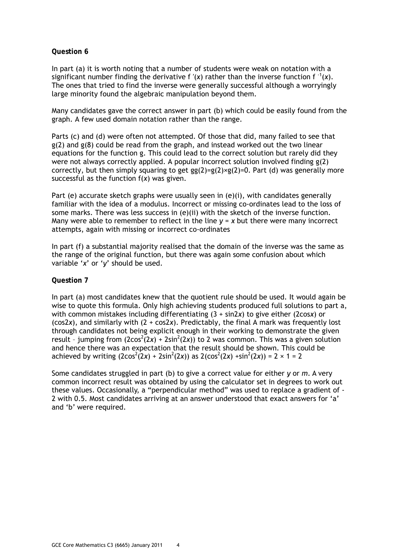In part (a) it is worth noting that a number of students were weak on notation with a significant number finding the derivative f '(x) rather than the inverse function  $f^{-1}(x)$ . The ones that tried to find the inverse were generally successful although a worryingly large minority found the algebraic manipulation beyond them.

Many candidates gave the correct answer in part (b) which could be easily found from the graph. A few used domain notation rather than the range.

Parts (c) and (d) were often not attempted. Of those that did, many failed to see that g(2) and g(8) could be read from the graph, and instead worked out the two linear equations for the function g. This could lead to the correct solution but rarely did they were not always correctly applied. A popular incorrect solution involved finding g(2) correctly, but then simply squaring to get  $gg(2)=g(2)\times g(2)=0$ . Part (d) was generally more successful as the function f(*x*) was given.

Part (e) accurate sketch graphs were usually seen in (e)(i), with candidates generally familiar with the idea of a modulus. Incorrect or missing co-ordinates lead to the loss of some marks. There was less success in (e)(ii) with the sketch of the inverse function. Many were able to remember to reflect in the line  $y = x$  but there were many incorrect attempts, again with missing or incorrect co-ordinates

In part (f) a substantial majority realised that the domain of the inverse was the same as the range of the original function, but there was again some confusion about which variable '*x*' or '*y*' should be used.

#### **Question 7**

In part (a) most candidates knew that the quotient rule should be used. It would again be wise to quote this formula. Only high achieving students produced full solutions to part a, with common mistakes including differentiating (3 + sin2*x*) to give either (2cos*x*) or (cos2*x*), and similarly with (2 + cos2*x*). Predictably, the final A mark was frequently lost through candidates not being explicit enough in their working to demonstrate the given result - jumping from  $(2cos^2(2x) + 2sin^2(2x))$  to 2 was common. This was a given solution and hence there was an expectation that the result should be shown. This could be achieved by writing  $(2\cos^2(2x) + 2\sin^2(2x))$  as  $2(\cos^2(2x) + \sin^2(2x)) = 2 \times 1 = 2$ 

Some candidates struggled in part (b) to give a correct value for either *y* or *m*. A very common incorrect result was obtained by using the calculator set in degrees to work out these values. Occasionally, a "perpendicular method" was used to replace a gradient of - 2 with 0.5. Most candidates arriving at an answer understood that exact answers for 'a' and 'b' were required.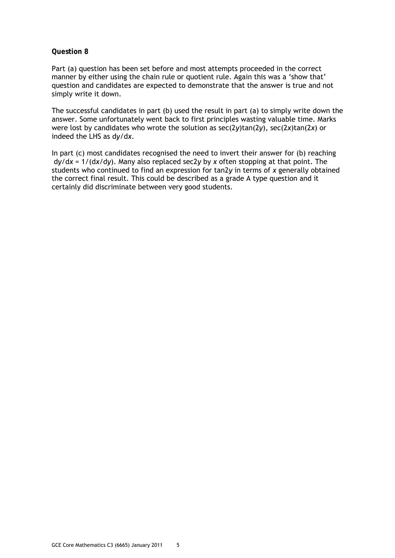Part (a) question has been set before and most attempts proceeded in the correct manner by either using the chain rule or quotient rule. Again this was a 'show that' question and candidates are expected to demonstrate that the answer is true and not simply write it down.

The successful candidates in part (b) used the result in part (a) to simply write down the answer. Some unfortunately went back to first principles wasting valuable time. Marks were lost by candidates who wrote the solution as sec(2*y*)tan(2*y*), sec(2*x*)tan(2*x*) or indeed the LHS as d*y*/d*x*.

In part (c) most candidates recognised the need to invert their answer for (b) reaching d*y*/d*x* = 1/(d*x*/d*y*). Many also replaced sec2*y* by *x* often stopping at that point. The students who continued to find an expression for tan2*y* in terms of *x* generally obtained the correct final result. This could be described as a grade A type question and it certainly did discriminate between very good students.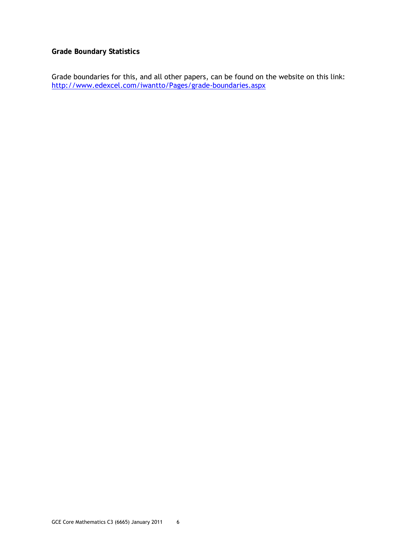#### **Grade Boundary Statistics**

Grade boundaries for this, and all other papers, can be found on the website on this link: http://www.edexcel.com/iwantto/Pages/grade-boundaries.aspx